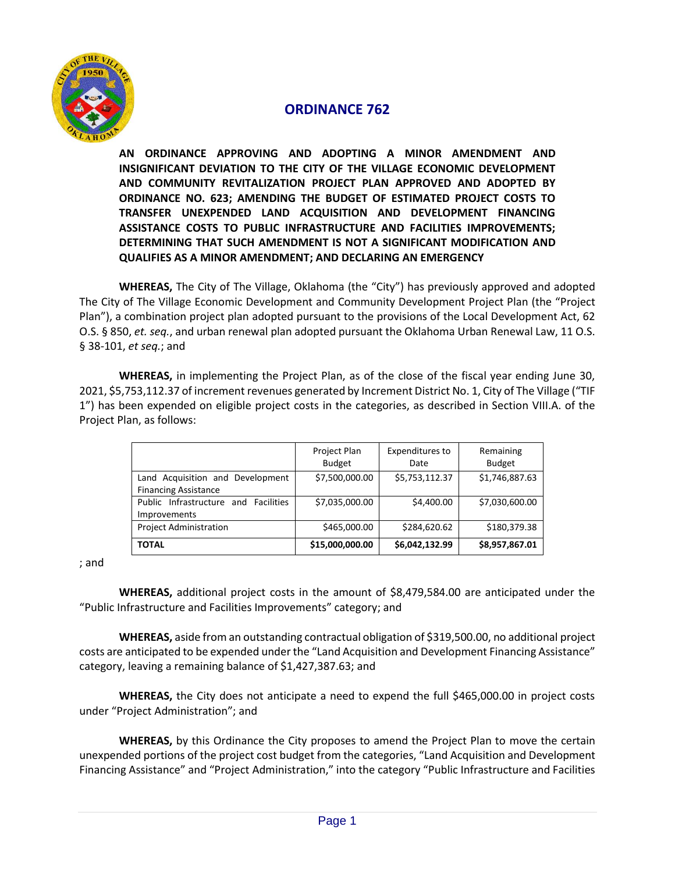

# **ORDINANCE 762**

**AN ORDINANCE APPROVING AND ADOPTING A MINOR AMENDMENT AND INSIGNIFICANT DEVIATION TO THE CITY OF THE VILLAGE ECONOMIC DEVELOPMENT AND COMMUNITY REVITALIZATION PROJECT PLAN APPROVED AND ADOPTED BY ORDINANCE NO. 623; AMENDING THE BUDGET OF ESTIMATED PROJECT COSTS TO TRANSFER UNEXPENDED LAND ACQUISITION AND DEVELOPMENT FINANCING ASSISTANCE COSTS TO PUBLIC INFRASTRUCTURE AND FACILITIES IMPROVEMENTS; DETERMINING THAT SUCH AMENDMENT IS NOT A SIGNIFICANT MODIFICATION AND QUALIFIES AS A MINOR AMENDMENT; AND DECLARING AN EMERGENCY**

**WHEREAS,** The City of The Village, Oklahoma (the "City") has previously approved and adopted The City of The Village Economic Development and Community Development Project Plan (the "Project Plan"), a combination project plan adopted pursuant to the provisions of the Local Development Act, 62 O.S. § 850, *et. seq.*, and urban renewal plan adopted pursuant the Oklahoma Urban Renewal Law, 11 O.S. § 38-101, *et seq.*; and

**WHEREAS,** in implementing the Project Plan, as of the close of the fiscal year ending June 30, 2021, \$5,753,112.37 of increment revenues generated by Increment District No. 1, City of The Village ("TIF 1") has been expended on eligible project costs in the categories, as described in Section VIII.A. of the Project Plan, as follows:

|                                                                 | Project Plan<br><b>Budget</b> | Expenditures to<br>Date | Remaining<br><b>Budget</b> |
|-----------------------------------------------------------------|-------------------------------|-------------------------|----------------------------|
| Land Acquisition and Development<br><b>Financing Assistance</b> | \$7,500,000.00                | \$5,753,112.37          | \$1,746,887.63             |
| Public Infrastructure and Facilities<br>Improvements            | \$7,035,000.00                | \$4,400.00              | \$7,030,600.00             |
| Project Administration                                          | \$465,000.00                  | \$284,620.62            | \$180,379.38               |
| <b>TOTAL</b>                                                    | \$15,000,000.00               | \$6,042,132.99          | \$8,957,867.01             |

; and

**WHEREAS,** additional project costs in the amount of \$8,479,584.00 are anticipated under the "Public Infrastructure and Facilities Improvements" category; and

**WHEREAS,** aside from an outstanding contractual obligation of \$319,500.00, no additional project costs are anticipated to be expended under the "Land Acquisition and Development Financing Assistance" category, leaving a remaining balance of \$1,427,387.63; and

**WHEREAS,** the City does not anticipate a need to expend the full \$465,000.00 in project costs under "Project Administration"; and

**WHEREAS,** by this Ordinance the City proposes to amend the Project Plan to move the certain unexpended portions of the project cost budget from the categories, "Land Acquisition and Development Financing Assistance" and "Project Administration," into the category "Public Infrastructure and Facilities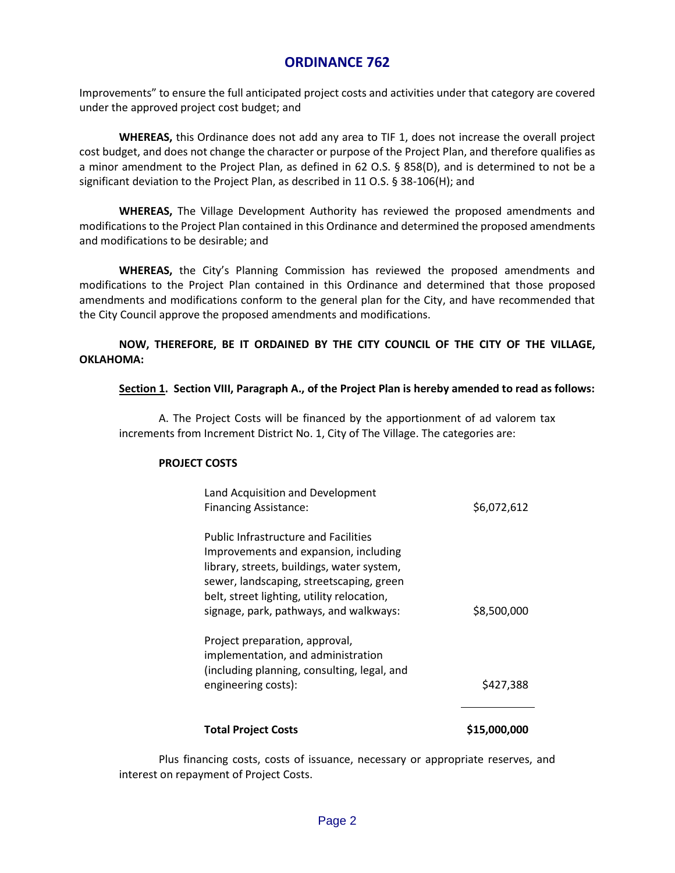## **ORDINANCE 762**

Improvements" to ensure the full anticipated project costs and activities under that category are covered under the approved project cost budget; and

**WHEREAS,** this Ordinance does not add any area to TIF 1, does not increase the overall project cost budget, and does not change the character or purpose of the Project Plan, and therefore qualifies as a minor amendment to the Project Plan, as defined in 62 O.S. § 858(D), and is determined to not be a significant deviation to the Project Plan, as described in 11 O.S. § 38-106(H); and

**WHEREAS,** The Village Development Authority has reviewed the proposed amendments and modifications to the Project Plan contained in this Ordinance and determined the proposed amendments and modifications to be desirable; and

**WHEREAS,** the City's Planning Commission has reviewed the proposed amendments and modifications to the Project Plan contained in this Ordinance and determined that those proposed amendments and modifications conform to the general plan for the City, and have recommended that the City Council approve the proposed amendments and modifications.

### **NOW, THEREFORE, BE IT ORDAINED BY THE CITY COUNCIL OF THE CITY OF THE VILLAGE, OKLAHOMA:**

#### **Section 1. Section VIII, Paragraph A., of the Project Plan is hereby amended to read as follows:**

A. The Project Costs will be financed by the apportionment of ad valorem tax increments from Increment District No. 1, City of The Village. The categories are:

#### **PROJECT COSTS**

| <b>Total Project Costs</b>                                                                                                                                                                                                                                             | \$15,000,000 |
|------------------------------------------------------------------------------------------------------------------------------------------------------------------------------------------------------------------------------------------------------------------------|--------------|
| Project preparation, approval,<br>implementation, and administration<br>(including planning, consulting, legal, and<br>engineering costs):                                                                                                                             | \$427,388    |
| <b>Public Infrastructure and Facilities</b><br>Improvements and expansion, including<br>library, streets, buildings, water system,<br>sewer, landscaping, streetscaping, green<br>belt, street lighting, utility relocation,<br>signage, park, pathways, and walkways: | \$8,500,000  |
| Land Acquisition and Development<br><b>Financing Assistance:</b>                                                                                                                                                                                                       | \$6,072,612  |

Plus financing costs, costs of issuance, necessary or appropriate reserves, and interest on repayment of Project Costs.